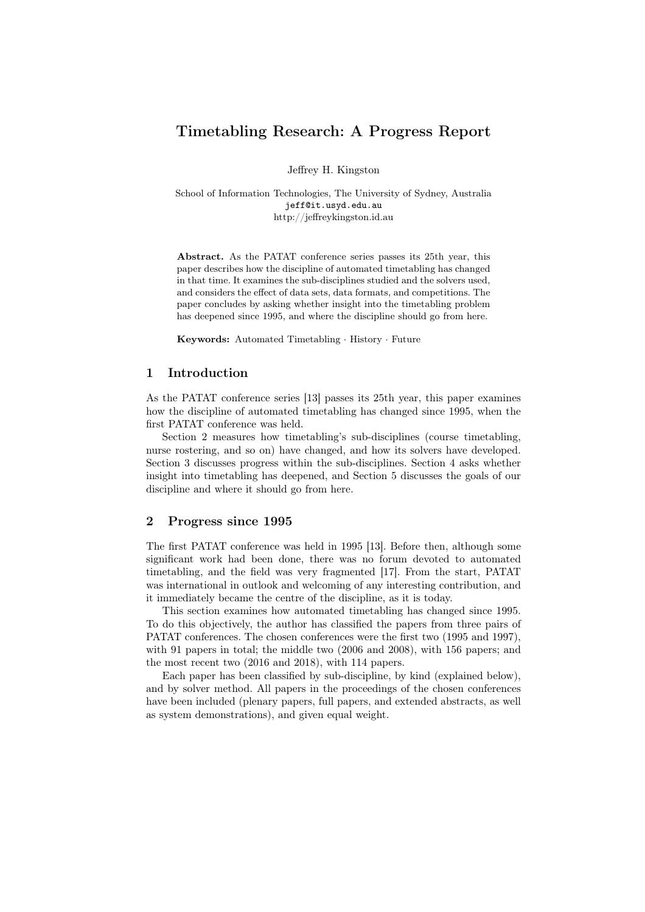# Timetabling Research: A Progress Report

Jeffrey H. Kingston

School of Information Technologies, The University of Sydney, Australia jeff@it.usyd.edu.au http://jeffreykingston.id.au

Abstract. As the PATAT conference series passes its 25th year, this paper describes how the discipline of automated timetabling has changed in that time. It examines the sub-disciplines studied and the solvers used, and considers the effect of data sets, data formats, and competitions. The paper concludes by asking whether insight into the timetabling problem has deepened since 1995, and where the discipline should go from here.

Keywords: Automated Timetabling · History · Future

# 1 Introduction

As the PATAT conference series [13] passes its 25th year, this paper examines how the discipline of automated timetabling has changed since 1995, when the first PATAT conference was held.

Section 2 measures how timetabling's sub-disciplines (course timetabling, nurse rostering, and so on) have changed, and how its solvers have developed. Section 3 discusses progress within the sub-disciplines. Section 4 asks whether insight into timetabling has deepened, and Section 5 discusses the goals of our discipline and where it should go from here.

#### 2 Progress since 1995

The first PATAT conference was held in 1995 [13]. Before then, although some significant work had been done, there was no forum devoted to automated timetabling, and the field was very fragmented [17]. From the start, PATAT was international in outlook and welcoming of any interesting contribution, and it immediately became the centre of the discipline, as it is today.

This section examines how automated timetabling has changed since 1995. To do this objectively, the author has classified the papers from three pairs of PATAT conferences. The chosen conferences were the first two (1995 and 1997), with 91 papers in total; the middle two (2006 and 2008), with 156 papers; and the most recent two (2016 and 2018), with 114 papers.

Each paper has been classified by sub-discipline, by kind (explained below), and by solver method. All papers in the proceedings of the chosen conferences have been included (plenary papers, full papers, and extended abstracts, as well as system demonstrations), and given equal weight.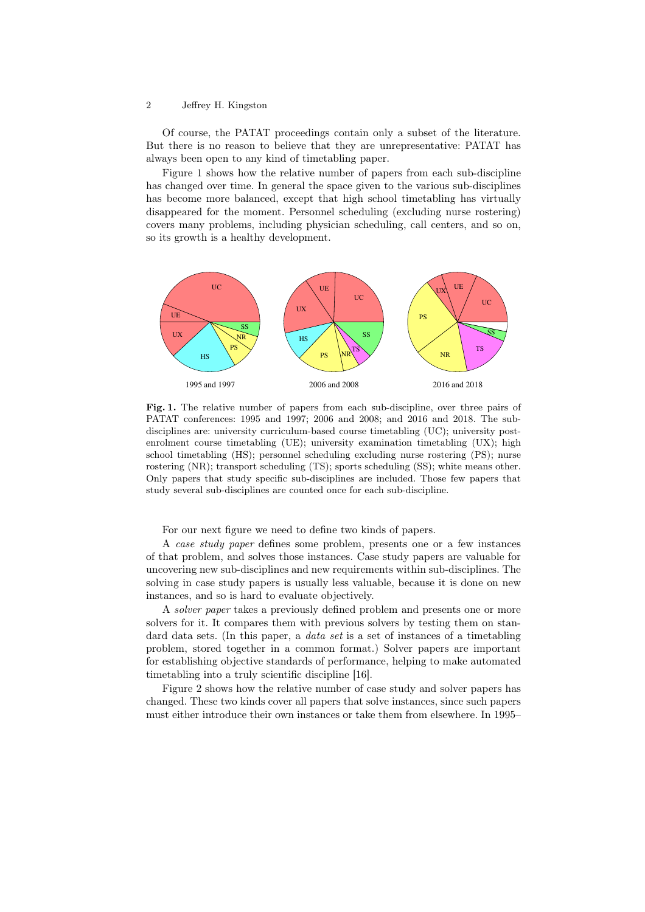#### 2 Jeffrey H. Kingston

Of course, the PATAT proceedings contain only a subset of the literature. But there is no reason to believe that they are unrepresentative: PATAT has always been open to any kind of timetabling paper.

Figure 1 shows how the relative number of papers from each sub-discipline has changed over time. In general the space given to the various sub-disciplines has become more balanced, except that high school timetabling has virtually disappeared for the moment. Personnel scheduling (excluding nurse rostering) covers many problems, including physician scheduling, call centers, and so on, so its growth is a healthy development.



Fig. 1. The relative number of papers from each sub-discipline, over three pairs of PATAT conferences: 1995 and 1997; 2006 and 2008; and 2016 and 2018. The subdisciplines are: university curriculum-based course timetabling (UC); university postenrolment course timetabling (UE); university examination timetabling (UX); high school timetabling (HS); personnel scheduling excluding nurse rostering (PS); nurse rostering (NR); transport scheduling (TS); sports scheduling (SS); white means other. Only papers that study specific sub-disciplines are included. Those few papers that study several sub-disciplines are counted once for each sub-discipline.

For our next figure we need to define two kinds of papers.

A case study paper defines some problem, presents one or a few instances of that problem, and solves those instances. Case study papers are valuable for uncovering new sub-disciplines and new requirements within sub-disciplines. The solving in case study papers is usually less valuable, because it is done on new instances, and so is hard to evaluate objectively.

A solver paper takes a previously defined problem and presents one or more solvers for it. It compares them with previous solvers by testing them on standard data sets. (In this paper, a data set is a set of instances of a timetabling problem, stored together in a common format.) Solver papers are important for establishing objective standards of performance, helping to make automated timetabling into a truly scientific discipline [16].

Figure 2 shows how the relative number of case study and solver papers has changed. These two kinds cover all papers that solve instances, since such papers must either introduce their own instances or take them from elsewhere. In 1995–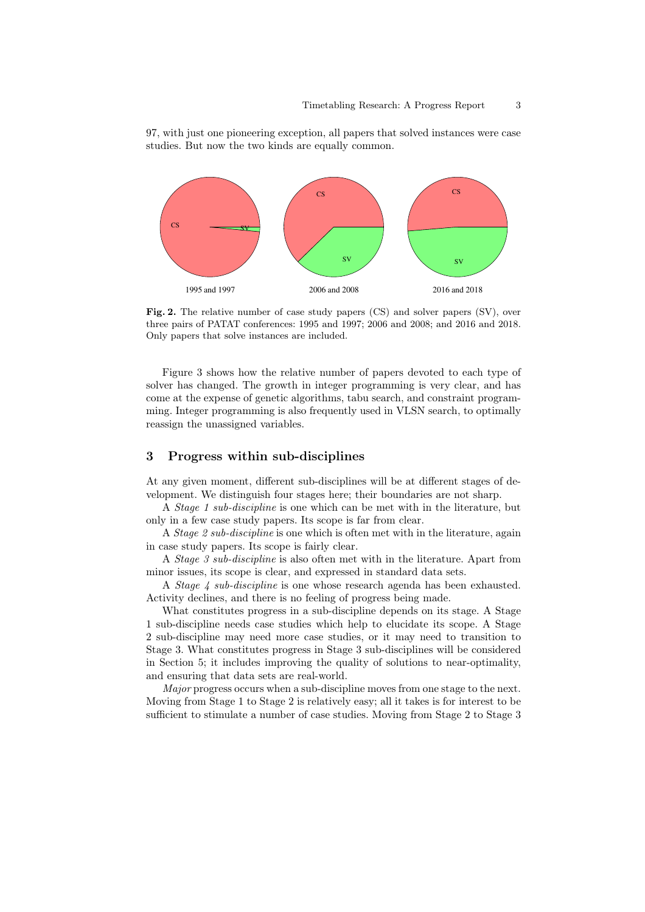97, with just one pioneering exception, all papers that solved instances were case studies. But now the two kinds are equally common.



Fig. 2. The relative number of case study papers (CS) and solver papers (SV), over three pairs of PATAT conferences: 1995 and 1997; 2006 and 2008; and 2016 and 2018. Only papers that solve instances are included.

Figure 3 shows how the relative number of papers devoted to each type of solver has changed. The growth in integer programming is very clear, and has come at the expense of genetic algorithms, tabu search, and constraint programming. Integer programming is also frequently used in VLSN search, to optimally reassign the unassigned variables.

# 3 Progress within sub-disciplines

At any given moment, different sub-disciplines will be at different stages of development. We distinguish four stages here; their boundaries are not sharp.

A Stage 1 sub-discipline is one which can be met with in the literature, but only in a few case study papers. Its scope is far from clear.

A Stage 2 sub-discipline is one which is often met with in the literature, again in case study papers. Its scope is fairly clear.

A Stage 3 sub-discipline is also often met with in the literature. Apart from minor issues, its scope is clear, and expressed in standard data sets.

A *Stage 4 sub-discipline* is one whose research agenda has been exhausted. Activity declines, and there is no feeling of progress being made.

What constitutes progress in a sub-discipline depends on its stage. A Stage 1 sub-discipline needs case studies which help to elucidate its scope. A Stage 2 sub-discipline may need more case studies, or it may need to transition to Stage 3. What constitutes progress in Stage 3 sub-disciplines will be considered in Section 5; it includes improving the quality of solutions to near-optimality, and ensuring that data sets are real-world.

Major progress occurs when a sub-discipline moves from one stage to the next. Moving from Stage 1 to Stage 2 is relatively easy; all it takes is for interest to be sufficient to stimulate a number of case studies. Moving from Stage 2 to Stage 3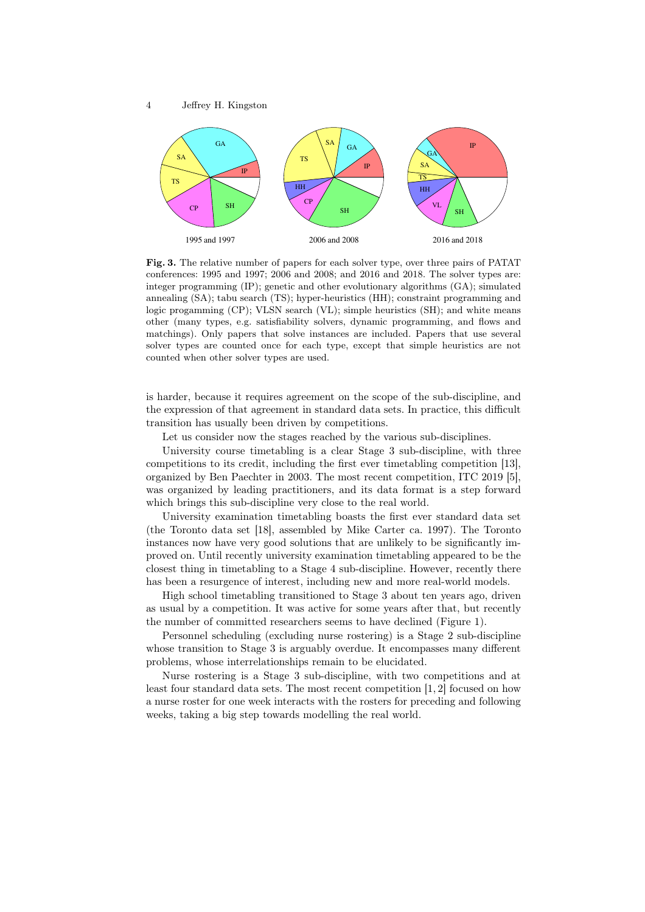

Fig. 3. The relative number of papers for each solver type, over three pairs of PATAT conferences: 1995 and 1997; 2006 and 2008; and 2016 and 2018. The solver types are: integer programming (IP); genetic and other evolutionary algorithms (GA); simulated annealing (SA); tabu search (TS); hyper-heuristics (HH); constraint programming and logic progamming (CP); VLSN search (VL); simple heuristics (SH); and white means other (many types, e.g. satisfiability solvers, dynamic programming, and flows and matchings). Only papers that solve instances are included. Papers that use several solver types are counted once for each type, except that simple heuristics are not counted when other solver types are used.

is harder, because it requires agreement on the scope of the sub-discipline, and the expression of that agreement in standard data sets. In practice, this difficult transition has usually been driven by competitions.

Let us consider now the stages reached by the various sub-disciplines.

University course timetabling is a clear Stage 3 sub-discipline, with three competitions to its credit, including the first ever timetabling competition [13], organized by Ben Paechter in 2003. The most recent competition, ITC 2019 [5], was organized by leading practitioners, and its data format is a step forward which brings this sub-discipline very close to the real world.

University examination timetabling boasts the first ever standard data set (the Toronto data set [18], assembled by Mike Carter ca. 1997). The Toronto instances now have very good solutions that are unlikely to be significantly improved on. Until recently university examination timetabling appeared to be the closest thing in timetabling to a Stage 4 sub-discipline. However, recently there has been a resurgence of interest, including new and more real-world models.

High school timetabling transitioned to Stage 3 about ten years ago, driven as usual by a competition. It was active for some years after that, but recently the number of committed researchers seems to have declined (Figure 1).

Personnel scheduling (excluding nurse rostering) is a Stage 2 sub-discipline whose transition to Stage 3 is arguably overdue. It encompasses many different problems, whose interrelationships remain to be elucidated.

Nurse rostering is a Stage 3 sub-discipline, with two competitions and at least four standard data sets. The most recent competition [1, 2] focused on how a nurse roster for one week interacts with the rosters for preceding and following weeks, taking a big step towards modelling the real world.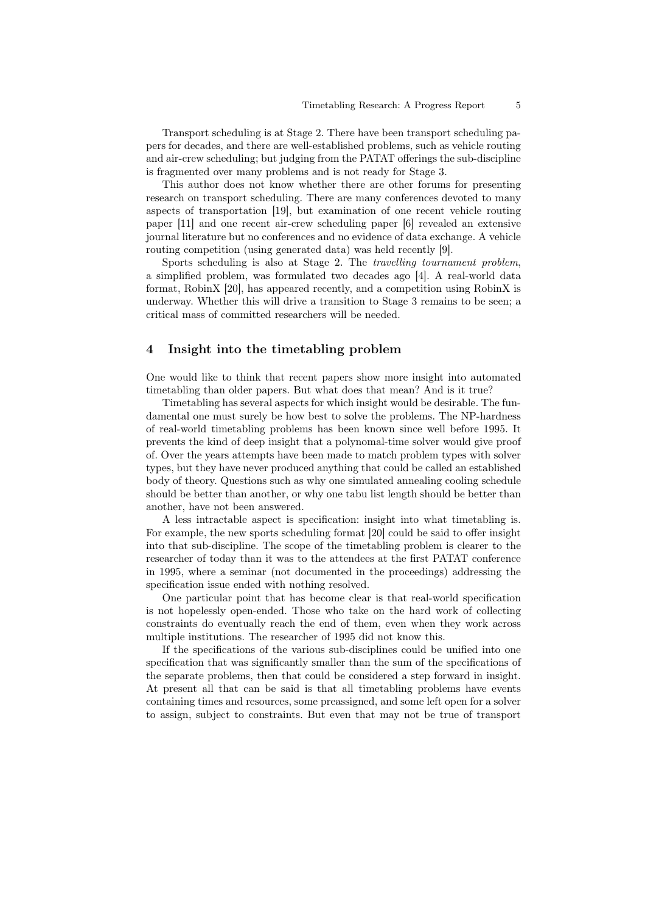Transport scheduling is at Stage 2. There have been transport scheduling papers for decades, and there are well-established problems, such as vehicle routing and air-crew scheduling; but judging from the PATAT offerings the sub-discipline is fragmented over many problems and is not ready for Stage 3.

This author does not know whether there are other forums for presenting research on transport scheduling. There are many conferences devoted to many aspects of transportation [19], but examination of one recent vehicle routing paper [11] and one recent air-crew scheduling paper [6] revealed an extensive journal literature but no conferences and no evidence of data exchange. A vehicle routing competition (using generated data) was held recently [9].

Sports scheduling is also at Stage 2. The travelling tournament problem, a simplified problem, was formulated two decades ago [4]. A real-world data format, RobinX [20], has appeared recently, and a competition using RobinX is underway. Whether this will drive a transition to Stage 3 remains to be seen; a critical mass of committed researchers will be needed.

# 4 Insight into the timetabling problem

One would like to think that recent papers show more insight into automated timetabling than older papers. But what does that mean? And is it true?

Timetabling has several aspects for which insight would be desirable. The fundamental one must surely be how best to solve the problems. The NP-hardness of real-world timetabling problems has been known since well before 1995. It prevents the kind of deep insight that a polynomal-time solver would give proof of. Over the years attempts have been made to match problem types with solver types, but they have never produced anything that could be called an established body of theory. Questions such as why one simulated annealing cooling schedule should be better than another, or why one tabu list length should be better than another, have not been answered.

A less intractable aspect is specification: insight into what timetabling is. For example, the new sports scheduling format [20] could be said to offer insight into that sub-discipline. The scope of the timetabling problem is clearer to the researcher of today than it was to the attendees at the first PATAT conference in 1995, where a seminar (not documented in the proceedings) addressing the specification issue ended with nothing resolved.

One particular point that has become clear is that real-world specification is not hopelessly open-ended. Those who take on the hard work of collecting constraints do eventually reach the end of them, even when they work across multiple institutions. The researcher of 1995 did not know this.

If the specifications of the various sub-disciplines could be unified into one specification that was significantly smaller than the sum of the specifications of the separate problems, then that could be considered a step forward in insight. At present all that can be said is that all timetabling problems have events containing times and resources, some preassigned, and some left open for a solver to assign, subject to constraints. But even that may not be true of transport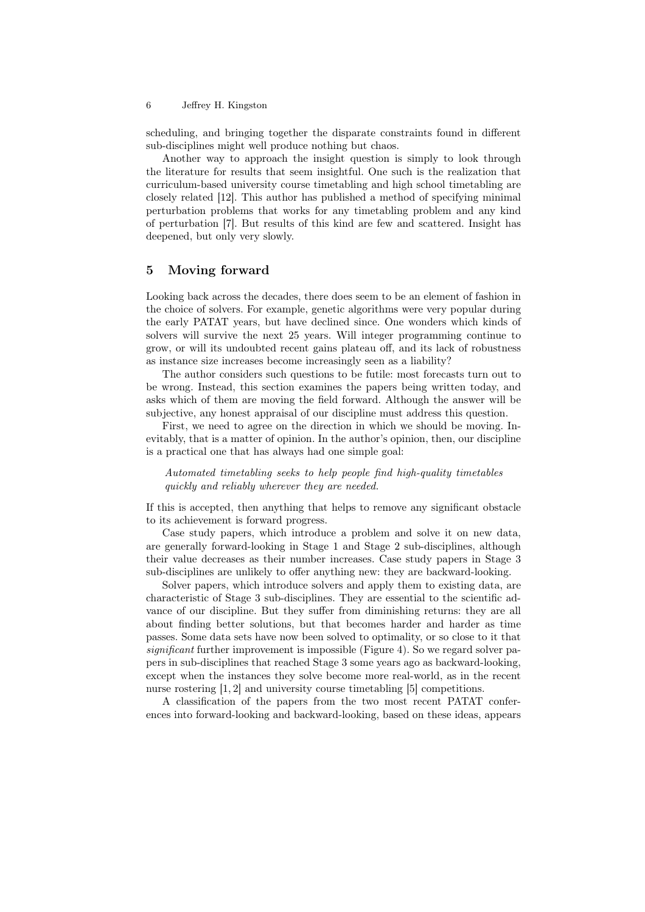#### 6 Jeffrey H. Kingston

scheduling, and bringing together the disparate constraints found in different sub-disciplines might well produce nothing but chaos.

Another way to approach the insight question is simply to look through the literature for results that seem insightful. One such is the realization that curriculum-based university course timetabling and high school timetabling are closely related [12]. This author has published a method of specifying minimal perturbation problems that works for any timetabling problem and any kind of perturbation [7]. But results of this kind are few and scattered. Insight has deepened, but only very slowly.

#### 5 Moving forward

Looking back across the decades, there does seem to be an element of fashion in the choice of solvers. For example, genetic algorithms were very popular during the early PATAT years, but have declined since. One wonders which kinds of solvers will survive the next 25 years. Will integer programming continue to grow, or will its undoubted recent gains plateau off, and its lack of robustness as instance size increases become increasingly seen as a liability?

The author considers such questions to be futile: most forecasts turn out to be wrong. Instead, this section examines the papers being written today, and asks which of them are moving the field forward. Although the answer will be subjective, any honest appraisal of our discipline must address this question.

First, we need to agree on the direction in which we should be moving. Inevitably, that is a matter of opinion. In the author's opinion, then, our discipline is a practical one that has always had one simple goal:

Automated timetabling seeks to help people find high-quality timetables quickly and reliably wherever they are needed.

If this is accepted, then anything that helps to remove any significant obstacle to its achievement is forward progress.

Case study papers, which introduce a problem and solve it on new data, are generally forward-looking in Stage 1 and Stage 2 sub-disciplines, although their value decreases as their number increases. Case study papers in Stage 3 sub-disciplines are unlikely to offer anything new: they are backward-looking.

Solver papers, which introduce solvers and apply them to existing data, are characteristic of Stage 3 sub-disciplines. They are essential to the scientific advance of our discipline. But they suffer from diminishing returns: they are all about finding better solutions, but that becomes harder and harder as time passes. Some data sets have now been solved to optimality, or so close to it that significant further improvement is impossible (Figure 4). So we regard solver papers in sub-disciplines that reached Stage 3 some years ago as backward-looking, except when the instances they solve become more real-world, as in the recent nurse rostering [1, 2] and university course timetabling [5] competitions.

A classification of the papers from the two most recent PATAT conferences into forward-looking and backward-looking, based on these ideas, appears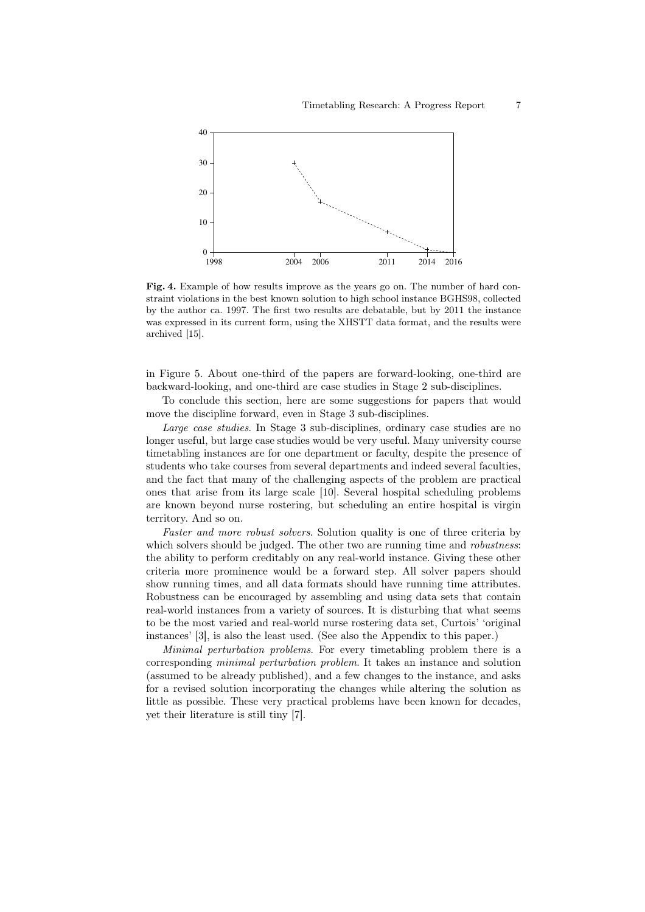

Fig. 4. Example of how results improve as the years go on. The number of hard constraint violations in the best known solution to high school instance BGHS98, collected by the author ca. 1997. The first two results are debatable, but by 2011 the instance was expressed in its current form, using the XHSTT data format, and the results were archived [15].

in Figure 5. About one-third of the papers are forward-looking, one-third are backward-looking, and one-third are case studies in Stage 2 sub-disciplines.

To conclude this section, here are some suggestions for papers that would move the discipline forward, even in Stage 3 sub-disciplines.

Large case studies. In Stage 3 sub-disciplines, ordinary case studies are no longer useful, but large case studies would be very useful. Many university course timetabling instances are for one department or faculty, despite the presence of students who take courses from several departments and indeed several faculties, and the fact that many of the challenging aspects of the problem are practical ones that arise from its large scale [10]. Several hospital scheduling problems are known beyond nurse rostering, but scheduling an entire hospital is virgin territory. And so on.

Faster and more robust solvers. Solution quality is one of three criteria by which solvers should be judged. The other two are running time and *robustness*: the ability to perform creditably on any real-world instance. Giving these other criteria more prominence would be a forward step. All solver papers should show running times, and all data formats should have running time attributes. Robustness can be encouraged by assembling and using data sets that contain real-world instances from a variety of sources. It is disturbing that what seems to be the most varied and real-world nurse rostering data set, Curtois' 'original instances' [3], is also the least used. (See also the Appendix to this paper.)

Minimal perturbation problems. For every timetabling problem there is a corresponding minimal perturbation problem. It takes an instance and solution (assumed to be already published), and a few changes to the instance, and asks for a revised solution incorporating the changes while altering the solution as little as possible. These very practical problems have been known for decades, yet their literature is still tiny [7].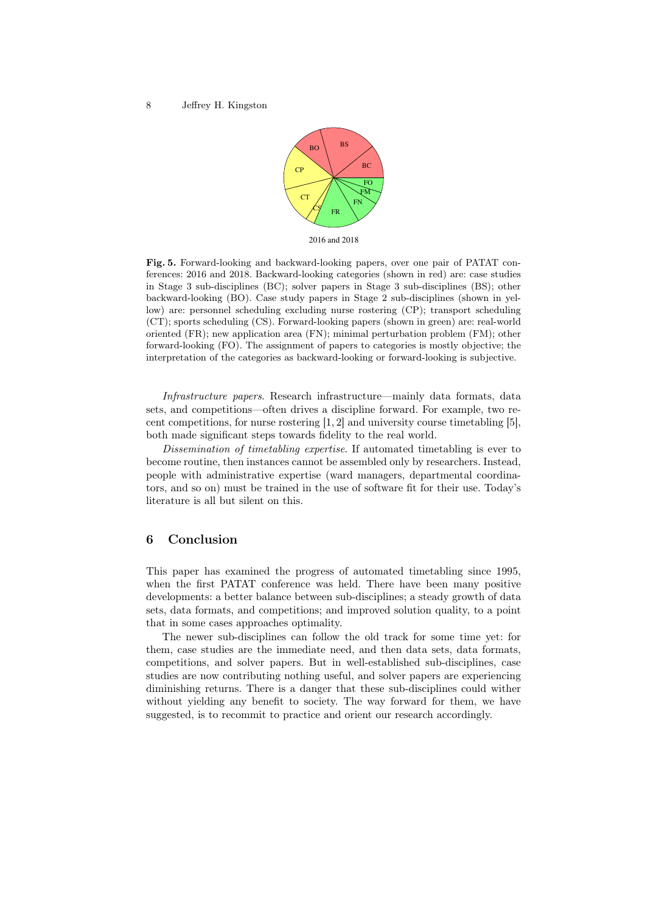

2016 and 2018

Fig. 5. Forward-looking and backward-looking papers, over one pair of PATAT conferences: 2016 and 2018. Backward-looking categories (shown in red) are: case studies in Stage 3 sub-disciplines (BC); solver papers in Stage 3 sub-disciplines (BS); other backward-looking (BO). Case study papers in Stage 2 sub-disciplines (shown in yellow) are: personnel scheduling excluding nurse rostering (CP); transport scheduling (CT); sports scheduling (CS). Forward-looking papers (shown in green) are: real-world oriented (FR); new application area (FN); minimal perturbation problem (FM); other forward-looking (FO). The assignment of papers to categories is mostly objective; the interpretation of the categories as backward-looking or forward-looking is subjective.

Infrastructure papers. Research infrastructure—mainly data formats, data sets, and competitions—often drives a discipline forward. For example, two recent competitions, for nurse rostering [1, 2] and university course timetabling [5], both made significant steps towards fidelity to the real world.

Dissemination of timetabling expertise. If automated timetabling is ever to become routine, then instances cannot be assembled only by researchers. Instead, people with administrative expertise (ward managers, departmental coordinators, and so on) must be trained in the use of software fit for their use. Today's literature is all but silent on this.

# 6 Conclusion

This paper has examined the progress of automated timetabling since 1995, when the first PATAT conference was held. There have been many positive developments: a better balance between sub-disciplines; a steady growth of data sets, data formats, and competitions; and improved solution quality, to a point that in some cases approaches optimality.

The newer sub-disciplines can follow the old track for some time yet: for them, case studies are the immediate need, and then data sets, data formats, competitions, and solver papers. But in well-established sub-disciplines, case studies are now contributing nothing useful, and solver papers are experiencing diminishing returns. There is a danger that these sub-disciplines could wither without yielding any benefit to society. The way forward for them, we have suggested, is to recommit to practice and orient our research accordingly.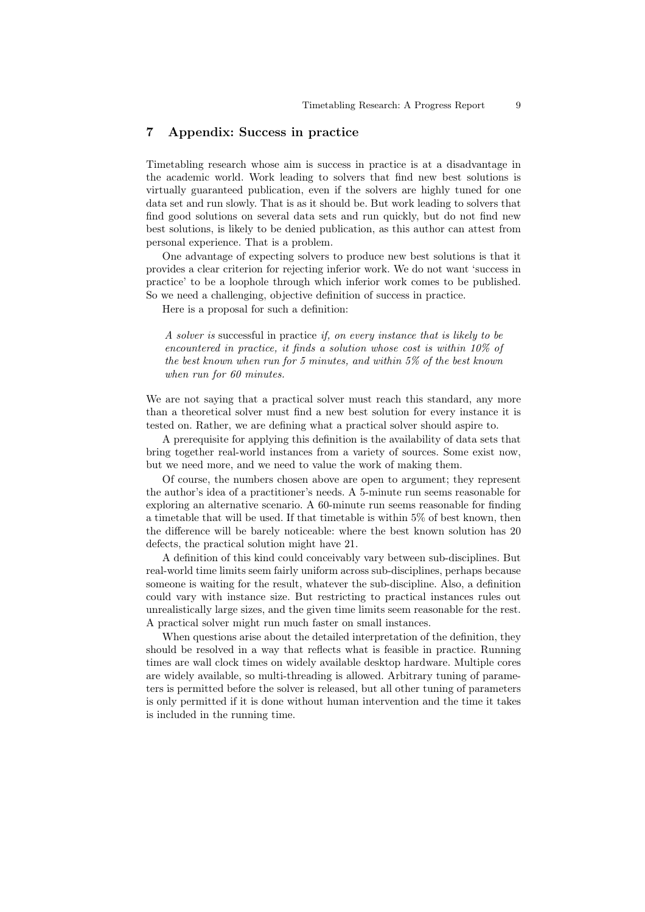# 7 Appendix: Success in practice

Timetabling research whose aim is success in practice is at a disadvantage in the academic world. Work leading to solvers that find new best solutions is virtually guaranteed publication, even if the solvers are highly tuned for one data set and run slowly. That is as it should be. But work leading to solvers that find good solutions on several data sets and run quickly, but do not find new best solutions, is likely to be denied publication, as this author can attest from personal experience. That is a problem.

One advantage of expecting solvers to produce new best solutions is that it provides a clear criterion for rejecting inferior work. We do not want 'success in practice' to be a loophole through which inferior work comes to be published. So we need a challenging, objective definition of success in practice.

Here is a proposal for such a definition:

A solver is successful in practice if, on every instance that is likely to be encountered in practice, it finds a solution whose cost is within 10% of the best known when run for 5 minutes, and within 5% of the best known when run for 60 minutes.

We are not saying that a practical solver must reach this standard, any more than a theoretical solver must find a new best solution for every instance it is tested on. Rather, we are defining what a practical solver should aspire to.

A prerequisite for applying this definition is the availability of data sets that bring together real-world instances from a variety of sources. Some exist now, but we need more, and we need to value the work of making them.

Of course, the numbers chosen above are open to argument; they represent the author's idea of a practitioner's needs. A 5-minute run seems reasonable for exploring an alternative scenario. A 60-minute run seems reasonable for finding a timetable that will be used. If that timetable is within 5% of best known, then the difference will be barely noticeable: where the best known solution has 20 defects, the practical solution might have 21.

A definition of this kind could conceivably vary between sub-disciplines. But real-world time limits seem fairly uniform across sub-disciplines, perhaps because someone is waiting for the result, whatever the sub-discipline. Also, a definition could vary with instance size. But restricting to practical instances rules out unrealistically large sizes, and the given time limits seem reasonable for the rest. A practical solver might run much faster on small instances.

When questions arise about the detailed interpretation of the definition, they should be resolved in a way that reflects what is feasible in practice. Running times are wall clock times on widely available desktop hardware. Multiple cores are widely available, so multi-threading is allowed. Arbitrary tuning of parameters is permitted before the solver is released, but all other tuning of parameters is only permitted if it is done without human intervention and the time it takes is included in the running time.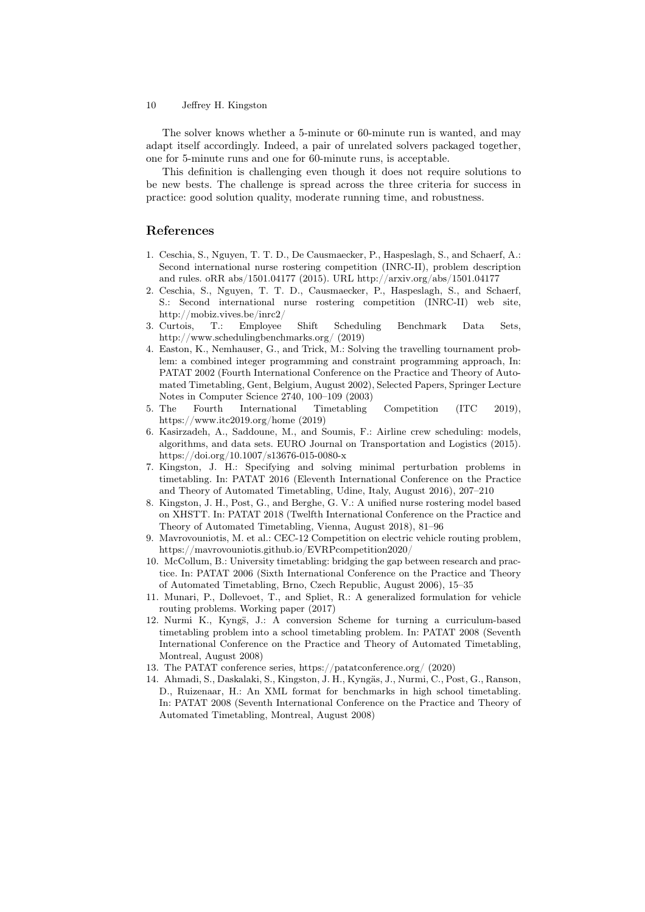10 Jeffrey H. Kingston

The solver knows whether a 5-minute or 60-minute run is wanted, and may adapt itself accordingly. Indeed, a pair of unrelated solvers packaged together, one for 5-minute runs and one for 60-minute runs, is acceptable.

This definition is challenging even though it does not require solutions to be new bests. The challenge is spread across the three criteria for success in practice: good solution quality, moderate running time, and robustness.

# References

- 1. Ceschia, S., Nguyen, T. T. D., De Causmaecker, P., Haspeslagh, S., and Schaerf, A.: Second international nurse rostering competition (INRC-II), problem description and rules. oRR abs/1501.04177 (2015). URL http://arxiv.org/abs/1501.04177
- 2. Ceschia, S., Nguyen, T. T. D., Causmaecker, P., Haspeslagh, S., and Schaerf, S.: Second international nurse rostering competition (INRC-II) web site, http://mobiz.vives.be/inrc2/
- 3. Curtois, T.: Employee Shift Scheduling Benchmark Data Sets, http://www.schedulingbenchmarks.org/ (2019)
- 4. Easton, K., Nemhauser, G., and Trick, M.: Solving the travelling tournament problem: a combined integer programming and constraint programming approach, In: PATAT 2002 (Fourth International Conference on the Practice and Theory of Automated Timetabling, Gent, Belgium, August 2002), Selected Papers, Springer Lecture Notes in Computer Science 2740, 100–109 (2003)
- 5. The Fourth International Timetabling Competition (ITC 2019), https://www.itc2019.org/home (2019)
- 6. Kasirzadeh, A., Saddoune, M., and Soumis, F.: Airline crew scheduling: models, algorithms, and data sets. EURO Journal on Transportation and Logistics (2015). https://doi.org/10.1007/s13676-015-0080-x
- 7. Kingston, J. H.: Specifying and solving minimal perturbation problems in timetabling. In: PATAT 2016 (Eleventh International Conference on the Practice and Theory of Automated Timetabling, Udine, Italy, August 2016), 207–210
- 8. Kingston, J. H., Post, G., and Berghe, G. V.: A unified nurse rostering model based on XHSTT. In: PATAT 2018 (Twelfth International Conference on the Practice and Theory of Automated Timetabling, Vienna, August 2018), 81–96
- 9. Mavrovouniotis, M. et al.: CEC-12 Competition on electric vehicle routing problem, https://mavrovouniotis.github.io/EVRPcompetition2020/
- 10. McCollum, B.: University timetabling: bridging the gap between research and practice. In: PATAT 2006 (Sixth International Conference on the Practice and Theory of Automated Timetabling, Brno, Czech Republic, August 2006), 15–35
- 11. Munari, P., Dollevoet, T., and Spliet, R.: A generalized formulation for vehicle routing problems. Working paper (2017)
- 12. Nurmi K., Kyngs̈, J.: A conversion Scheme for turning a curriculum-based timetabling problem into a school timetabling problem. In: PATAT 2008 (Seventh International Conference on the Practice and Theory of Automated Timetabling, Montreal, August 2008)
- 13. The PATAT conference series, https://patatconference.org/ (2020)
- 14. Ahmadi, S., Daskalaki, S., Kingston, J. H., Kyngäs, J., Nurmi, C., Post, G., Ranson, D., Ruizenaar, H.: An XML format for benchmarks in high school timetabling. In: PATAT 2008 (Seventh International Conference on the Practice and Theory of Automated Timetabling, Montreal, August 2008)